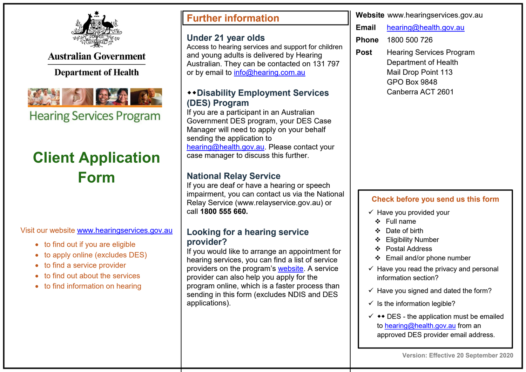

**Australian Government** 

## **Department of Health**



**Hearing Services Program** 

# **Client Application Form**

Visit our website www.hearingservices.gov.au

- to find out if you are eligible
- to apply online (excludes DES)
- to find a service provider
- to find out about the services
- to find information on hearing

## **Further information**

#### **Under 21 year olds**

Access to hearing services and support for children and young adults is delivered by Hearing Australian. They can be contacted on 131 797 or by email to info@hearing.com.au

### **Disability Employment Services (DES) Program**

If you are a participant in an Australian Government DES program, your DES Case Manager will need to apply on your behalf sending the application to hearing@health.gov.au. Please contact your case manager to discuss this further.

## **National Relay Service**

If you are deaf or have a hearing or speech impairment, you can contact us via the National Relay Service (www.relayservice.gov.au) or call **1800 555 660.**

### **Looking for a hearing service provider?**

If you would like to arrange an appointment for hearing services, you can find a list of service providers on the program's website. A service provider can also help you apply for the program online, which is a faster process than sending in this form (excludes NDIS and DES applications).

**Website** www.hearingservices.gov.au

**Email** hearing@health.gov.au

**Phone** 1800 500 726

**Post** Hearing Services Program Department of Health Mail Drop Point 113 GPO Box 9848 Canberra ACT 2601

#### **Check before you send us this form**

- $\checkmark$  Have you provided your
	- Full name
- Date of birth
- ❖ Eligibility Number
- Postal Address
- Email and/or phone number
- $\checkmark$  Have you read the privacy and personal information section?
- $\checkmark$  Have you signed and dated the form?
- $\checkmark$  Is the information legible?
- $\checkmark$   $\leftrightarrow$  DES the application must be emailed to hearing@health.gov.au from an approved DES provider email address.